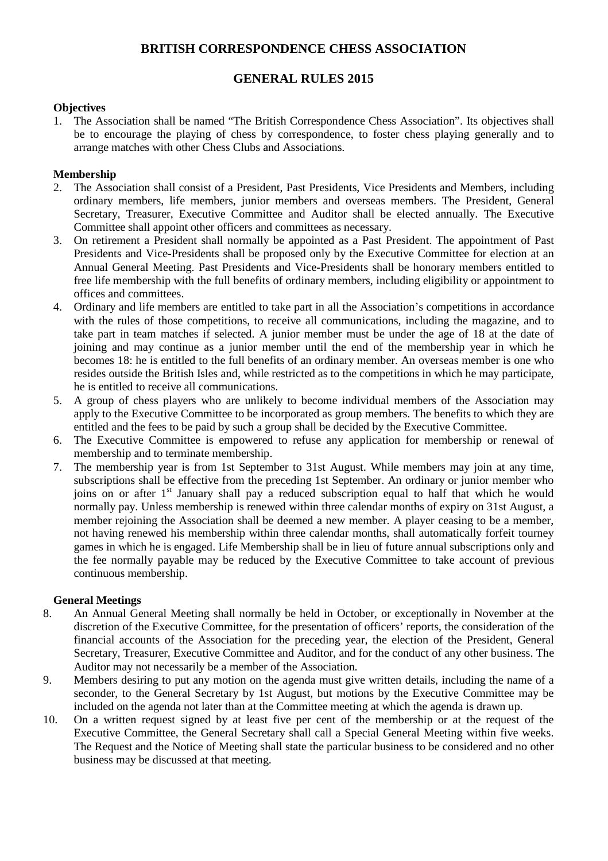# **BRITISH CORRESPONDENCE CHESS ASSOCIATION**

# **GENERAL RULES 2015**

## **Objectives**

1. The Association shall be named "The British Correspondence Chess Association". Its objectives shall be to encourage the playing of chess by correspondence, to foster chess playing generally and to arrange matches with other Chess Clubs and Associations.

## **Membership**

- 2. The Association shall consist of a President, Past Presidents, Vice Presidents and Members, including ordinary members, life members, junior members and overseas members. The President, General Secretary, Treasurer, Executive Committee and Auditor shall be elected annually. The Executive Committee shall appoint other officers and committees as necessary.
- 3. On retirement a President shall normally be appointed as a Past President. The appointment of Past Presidents and Vice-Presidents shall be proposed only by the Executive Committee for election at an Annual General Meeting. Past Presidents and Vice-Presidents shall be honorary members entitled to free life membership with the full benefits of ordinary members, including eligibility or appointment to offices and committees.
- 4. Ordinary and life members are entitled to take part in all the Association's competitions in accordance with the rules of those competitions, to receive all communications, including the magazine, and to take part in team matches if selected. A junior member must be under the age of 18 at the date of joining and may continue as a junior member until the end of the membership year in which he becomes 18: he is entitled to the full benefits of an ordinary member. An overseas member is one who resides outside the British Isles and, while restricted as to the competitions in which he may participate, he is entitled to receive all communications.
- 5. A group of chess players who are unlikely to become individual members of the Association may apply to the Executive Committee to be incorporated as group members. The benefits to which they are entitled and the fees to be paid by such a group shall be decided by the Executive Committee.
- 6. The Executive Committee is empowered to refuse any application for membership or renewal of membership and to terminate membership.
- 7. The membership year is from 1st September to 31st August. While members may join at any time, subscriptions shall be effective from the preceding 1st September. An ordinary or junior member who joins on or after 1<sup>st</sup> January shall pay a reduced subscription equal to half that which he would normally pay. Unless membership is renewed within three calendar months of expiry on 31st August, a member rejoining the Association shall be deemed a new member. A player ceasing to be a member, not having renewed his membership within three calendar months, shall automatically forfeit tourney games in which he is engaged. Life Membership shall be in lieu of future annual subscriptions only and the fee normally payable may be reduced by the Executive Committee to take account of previous continuous membership.

## **General Meetings**

- 8. An Annual General Meeting shall normally be held in October, or exceptionally in November at the discretion of the Executive Committee, for the presentation of officers' reports, the consideration of the financial accounts of the Association for the preceding year, the election of the President, General Secretary, Treasurer, Executive Committee and Auditor, and for the conduct of any other business. The Auditor may not necessarily be a member of the Association.
- 9. Members desiring to put any motion on the agenda must give written details, including the name of a seconder, to the General Secretary by 1st August, but motions by the Executive Committee may be included on the agenda not later than at the Committee meeting at which the agenda is drawn up.
- 10. On a written request signed by at least five per cent of the membership or at the request of the Executive Committee, the General Secretary shall call a Special General Meeting within five weeks. The Request and the Notice of Meeting shall state the particular business to be considered and no other business may be discussed at that meeting.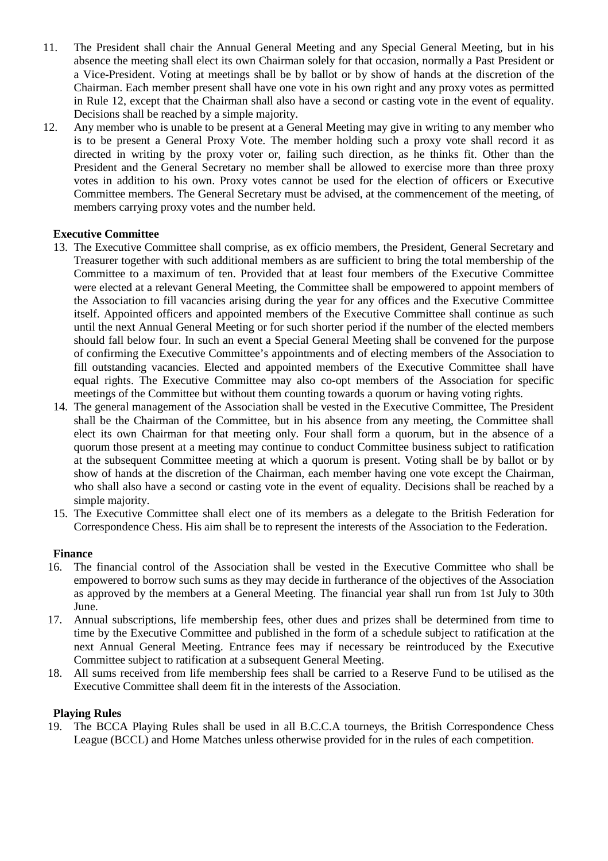- 11. The President shall chair the Annual General Meeting and any Special General Meeting, but in his absence the meeting shall elect its own Chairman solely for that occasion, normally a Past President or a Vice-President. Voting at meetings shall be by ballot or by show of hands at the discretion of the Chairman. Each member present shall have one vote in his own right and any proxy votes as permitted in Rule 12, except that the Chairman shall also have a second or casting vote in the event of equality. Decisions shall be reached by a simple majority.
- 12. Any member who is unable to be present at a General Meeting may give in writing to any member who is to be present a General Proxy Vote. The member holding such a proxy vote shall record it as directed in writing by the proxy voter or, failing such direction, as he thinks fit. Other than the President and the General Secretary no member shall be allowed to exercise more than three proxy votes in addition to his own. Proxy votes cannot be used for the election of officers or Executive Committee members. The General Secretary must be advised, at the commencement of the meeting, of members carrying proxy votes and the number held.

## **Executive Committee**

- 13. The Executive Committee shall comprise, as ex officio members, the President, General Secretary and Treasurer together with such additional members as are sufficient to bring the total membership of the Committee to a maximum of ten. Provided that at least four members of the Executive Committee were elected at a relevant General Meeting, the Committee shall be empowered to appoint members of the Association to fill vacancies arising during the year for any offices and the Executive Committee itself. Appointed officers and appointed members of the Executive Committee shall continue as such until the next Annual General Meeting or for such shorter period if the number of the elected members should fall below four. In such an event a Special General Meeting shall be convened for the purpose of confirming the Executive Committee's appointments and of electing members of the Association to fill outstanding vacancies. Elected and appointed members of the Executive Committee shall have equal rights. The Executive Committee may also co-opt members of the Association for specific meetings of the Committee but without them counting towards a quorum or having voting rights.
- 14. The general management of the Association shall be vested in the Executive Committee, The President shall be the Chairman of the Committee, but in his absence from any meeting, the Committee shall elect its own Chairman for that meeting only. Four shall form a quorum, but in the absence of a quorum those present at a meeting may continue to conduct Committee business subject to ratification at the subsequent Committee meeting at which a quorum is present. Voting shall be by ballot or by show of hands at the discretion of the Chairman, each member having one vote except the Chairman, who shall also have a second or casting vote in the event of equality. Decisions shall be reached by a simple majority.
- 15. The Executive Committee shall elect one of its members as a delegate to the British Federation for Correspondence Chess. His aim shall be to represent the interests of the Association to the Federation.

#### **Finance**

- 16. The financial control of the Association shall be vested in the Executive Committee who shall be empowered to borrow such sums as they may decide in furtherance of the objectives of the Association as approved by the members at a General Meeting. The financial year shall run from 1st July to 30th June.
- 17. Annual subscriptions, life membership fees, other dues and prizes shall be determined from time to time by the Executive Committee and published in the form of a schedule subject to ratification at the next Annual General Meeting. Entrance fees may if necessary be reintroduced by the Executive Committee subject to ratification at a subsequent General Meeting.
- 18. All sums received from life membership fees shall be carried to a Reserve Fund to be utilised as the Executive Committee shall deem fit in the interests of the Association.

#### **Playing Rules**

19. The BCCA Playing Rules shall be used in all B.C.C.A tourneys, the British Correspondence Chess League (BCCL) and Home Matches unless otherwise provided for in the rules of each competition.